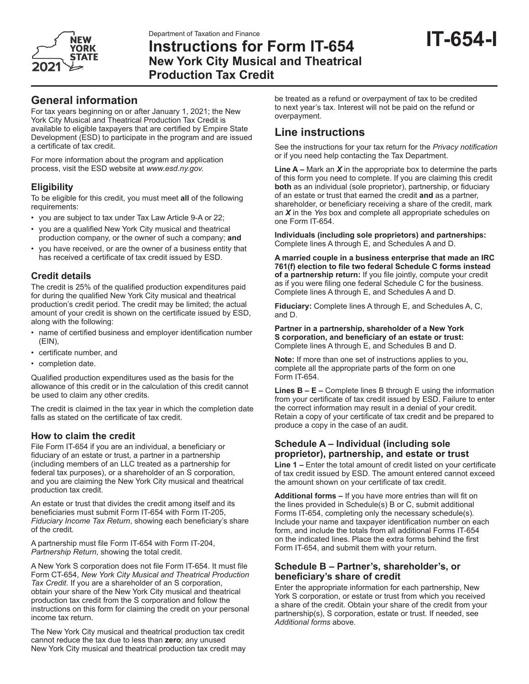

# Department of Taxation and Finance<br>Instructions for Form IT-654 **IT-654-I New York City Musical and Theatrical Production Tax Credit**

## **General information**

For tax years beginning on or after January 1, 2021; the New York City Musical and Theatrical Production Tax Credit is available to eligible taxpayers that are certified by Empire State Development (ESD) to participate in the program and are issued a certificate of tax credit.

For more information about the program and application process, visit the ESD website at *www.esd.ny.gov.*

### **Eligibility**

To be eligible for this credit, you must meet **all** of the following requirements:

- you are subject to tax under Tax Law Article 9-A or 22;
- you are a qualified New York City musical and theatrical production company, or the owner of such a company; **and**
- you have received, or are the owner of a business entity that has received a certificate of tax credit issued by ESD.

### **Credit details**

The credit is 25% of the qualified production expenditures paid for during the qualified New York City musical and theatrical production's credit period. The credit may be limited; the actual amount of your credit is shown on the certificate issued by ESD, along with the following:

- name of certified business and employer identification number (EIN),
- certificate number, and
- completion date.

Qualified production expenditures used as the basis for the allowance of this credit or in the calculation of this credit cannot be used to claim any other credits.

The credit is claimed in the tax year in which the completion date falls as stated on the certificate of tax credit.

### **How to claim the credit**

File Form IT-654 if you are an individual, a beneficiary or fiduciary of an estate or trust, a partner in a partnership (including members of an LLC treated as a partnership for federal tax purposes), or a shareholder of an S corporation, and you are claiming the New York City musical and theatrical production tax credit.

An estate or trust that divides the credit among itself and its beneficiaries must submit Form IT-654 with Form IT-205, *Fiduciary Income Tax Return*, showing each beneficiary's share of the credit.

A partnership must file Form IT-654 with Form IT-204, *Partnership Return*, showing the total credit.

A New York S corporation does not file Form IT-654. It must file Form CT-654, *New York City Musical and Theatrical Production Tax Credit*. If you are a shareholder of an S corporation, obtain your share of the New York City musical and theatrical production tax credit from the S corporation and follow the instructions on this form for claiming the credit on your personal income tax return.

The New York City musical and theatrical production tax credit cannot reduce the tax due to less than **zero**; any unused New York City musical and theatrical production tax credit may

be treated as a refund or overpayment of tax to be credited to next year's tax. Interest will not be paid on the refund or overpayment.

# **Line instructions**

See the instructions for your tax return for the *Privacy notification* or if you need help contacting the Tax Department.

**Line A –** Mark an *X* in the appropriate box to determine the parts of this form you need to complete. If you are claiming this credit **both** as an individual (sole proprietor), partnership, or fiduciary of an estate or trust that earned the credit **and** as a partner, shareholder, or beneficiary receiving a share of the credit, mark an *X* in the *Yes* box and complete all appropriate schedules on one Form IT-654.

**Individuals (including sole proprietors) and partnerships:** Complete lines A through E, and Schedules A and D.

**A married couple in a business enterprise that made an IRC 761(f) election to file two federal Schedule C forms instead of a partnership return:** If you file jointly, compute your credit as if you were filing one federal Schedule C for the business. Complete lines A through E, and Schedules A and D.

**Fiduciary:** Complete lines A through E, and Schedules A, C, and D.

**Partner in a partnership, shareholder of a New York S corporation, and beneficiary of an estate or trust:** Complete lines A through E, and Schedules B and D.

**Note:** If more than one set of instructions applies to you, complete all the appropriate parts of the form on one Form IT-654.

**Lines B – E –** Complete lines B through E using the information from your certificate of tax credit issued by ESD. Failure to enter the correct information may result in a denial of your credit. Retain a copy of your certificate of tax credit and be prepared to produce a copy in the case of an audit.

### **Schedule A – Individual (including sole proprietor), partnership, and estate or trust**

**Line 1 –** Enter the total amount of credit listed on your certificate of tax credit issued by ESD. The amount entered cannot exceed the amount shown on your certificate of tax credit.

**Additional forms –** If you have more entries than will fit on the lines provided in Schedule(s) B or C, submit additional Forms IT-654, completing only the necessary schedule(s). Include your name and taxpayer identification number on each form, and include the totals from all additional Forms IT-654 on the indicated lines. Place the extra forms behind the first Form IT-654, and submit them with your return.

### **Schedule B – Partner's, shareholder's, or beneficiary's share of credit**

Enter the appropriate information for each partnership, New York S corporation, or estate or trust from which you received a share of the credit. Obtain your share of the credit from your partnership(s), S corporation, estate or trust. If needed, see *Additional forms* above.